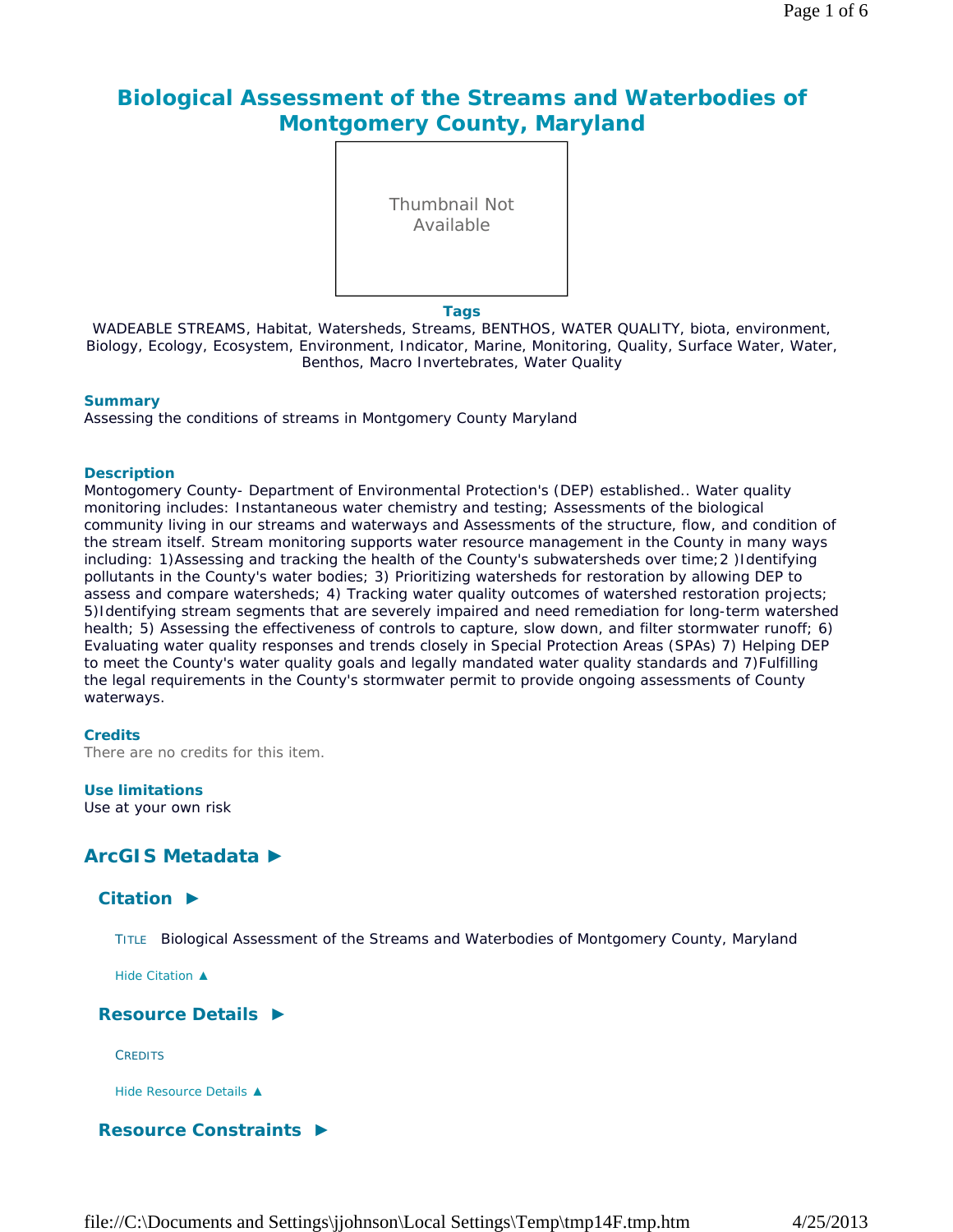# **Biological Assessment of the Streams and Waterbodies of Montgomery County, Maryland**



#### **Tags**

WADEABLE STREAMS, Habitat, Watersheds, Streams, BENTHOS, WATER QUALITY, biota, environment, Biology, Ecology, Ecosystem, Environment, Indicator, Marine, Monitoring, Quality, Surface Water, Water, Benthos, Macro Invertebrates, Water Quality

#### **Summary**

Assessing the conditions of streams in Montgomery County Maryland

### **Description**

Montogomery County- Department of Environmental Protection's (DEP) established.. Water quality monitoring includes: Instantaneous water chemistry and testing; Assessments of the biological community living in our streams and waterways and Assessments of the structure, flow, and condition of the stream itself. Stream monitoring supports water resource management in the County in many ways including: 1)Assessing and tracking the health of the County's subwatersheds over time; 2 )Identifying pollutants in the County's water bodies; 3) Prioritizing watersheds for restoration by allowing DEP to assess and compare watersheds; 4) Tracking water quality outcomes of watershed restoration projects; 5)Identifying stream segments that are severely impaired and need remediation for long-term watershed health; 5) Assessing the effectiveness of controls to capture, slow down, and filter stormwater runoff; 6) Evaluating water quality responses and trends closely in Special Protection Areas (SPAs) 7) Helping DEP to meet the County's water quality goals and legally mandated water quality standards and 7)Fulfilling the legal requirements in the County's stormwater permit to provide ongoing assessments of County waterways.

### **Credits**

There are no credits for this item.

### **Use limitations**

Use at your own risk

## **ArcGIS Metadata ►**

## **Citation ►**

TITLE Biological Assessment of the Streams and Waterbodies of Montgomery County, Maryland

*Hide Citation ▲*

## **Resource Details ►**

**CREDITS** 

*Hide Resource Details ▲*

## **Resource Constraints ►**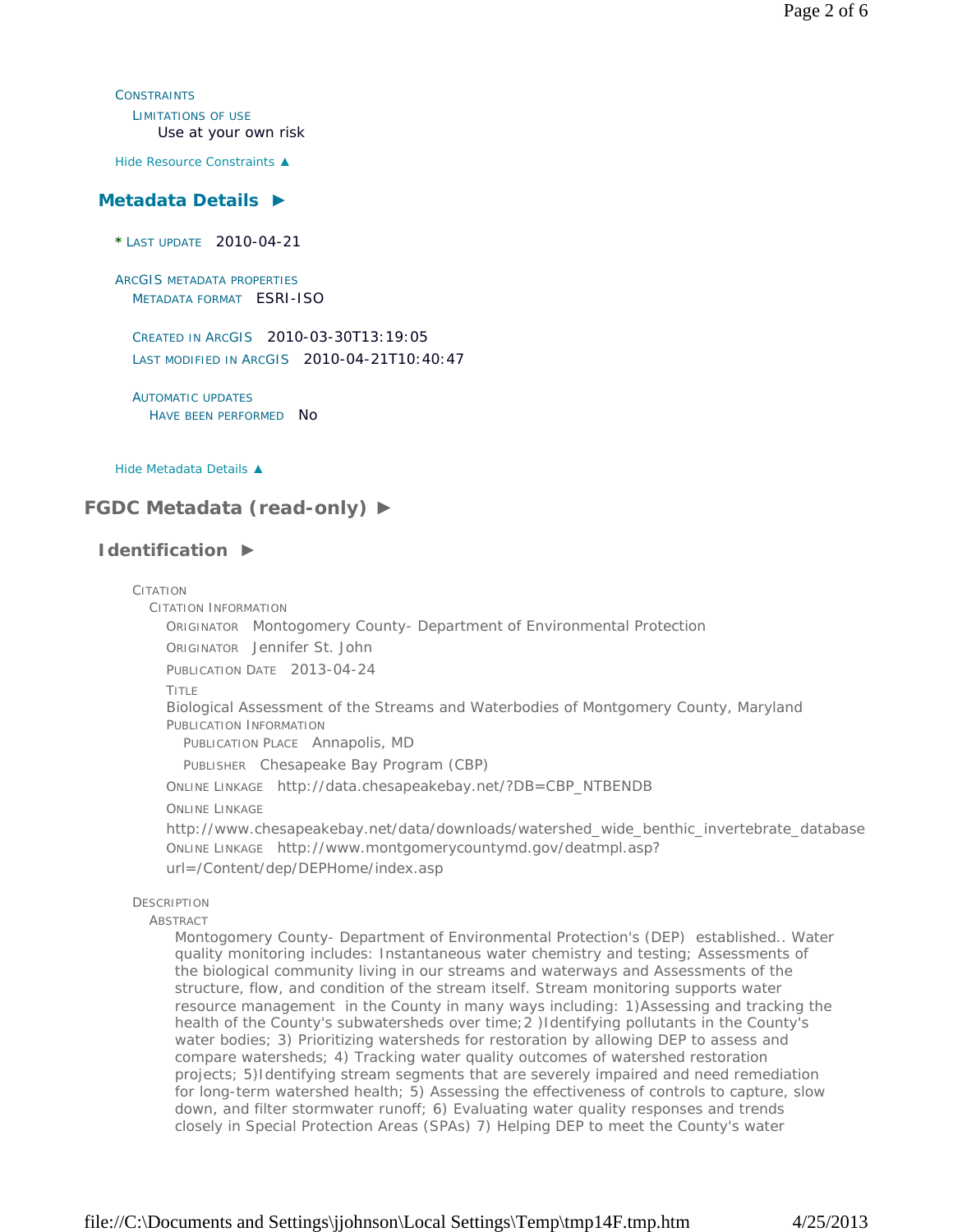**CONSTRAINTS** LIMITATIONS OF USE Use at your own risk

*Hide Resource Constraints ▲*

### **Metadata Details ►**

**\*** LAST UPDATE 2010-04-21

ARCGIS METADATA PROPERTIES METADATA FORMAT ESRI-ISO

CREATED IN ARCGIS 2010-03-30T13:19:05 LAST MODIFIED IN ARCGIS 2010-04-21T10:40:47

AUTOMATIC UPDATES HAVE BEEN PERFORMED NO

*Hide Metadata Details ▲*

## **FGDC Metadata (read-only) ►**

## **Identification ►**

## CITATION CITATION INFORMATION ORIGINATOR Montogomery County- Department of Environmental Protection ORIGINATOR Jennifer St. John PUBLICATION DATE 2013-04-24 TITLE Biological Assessment of the Streams and Waterbodies of Montgomery County, Maryland PUBLICATION INFORMATION PUBLICATION PLACE Annapolis, MD PUBLISHER Chesapeake Bay Program (CBP) ONLINE LINKAGE http://data.chesapeakebay.net/?DB=CBP\_NTBENDB ONLINE LINKAGE http://www.chesapeakebay.net/data/downloads/watershed\_wide\_benthic\_invertebrate\_database ONLINE LINKAGE http://www.montgomerycountymd.gov/deatmpl.asp? url=/Content/dep/DEPHome/index.asp **DESCRIPTION** ABSTRACT

Montogomery County- Department of Environmental Protection's (DEP) established.. Water quality monitoring includes: Instantaneous water chemistry and testing; Assessments of the biological community living in our streams and waterways and Assessments of the structure, flow, and condition of the stream itself. Stream monitoring supports water resource management in the County in many ways including: 1)Assessing and tracking the health of the County's subwatersheds over time; 2 )Identifying pollutants in the County's water bodies; 3) Prioritizing watersheds for restoration by allowing DEP to assess and compare watersheds; 4) Tracking water quality outcomes of watershed restoration projects; 5)Identifying stream segments that are severely impaired and need remediation for long-term watershed health; 5) Assessing the effectiveness of controls to capture, slow down, and filter stormwater runoff; 6) Evaluating water quality responses and trends closely in Special Protection Areas (SPAs) 7) Helping DEP to meet the County's water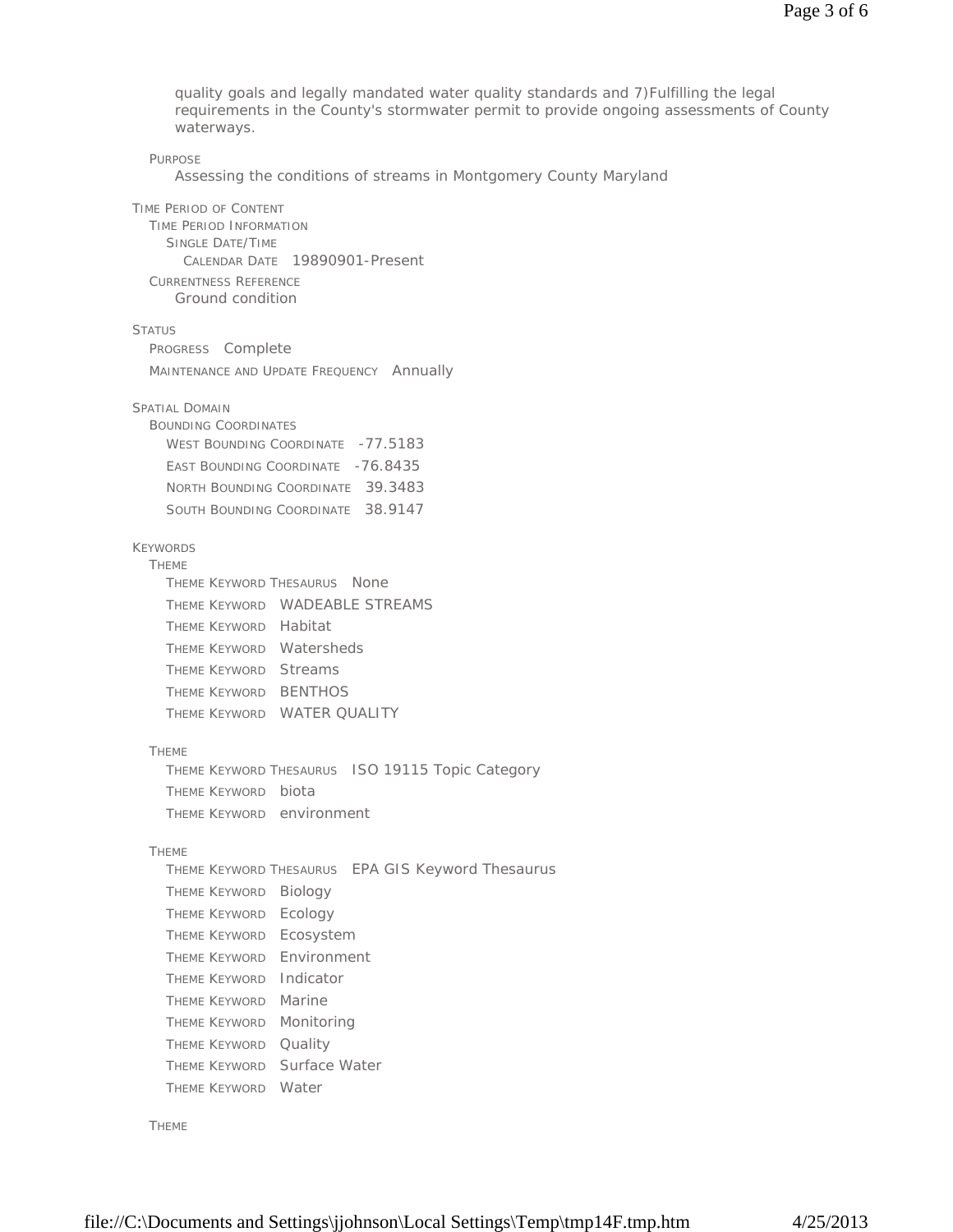quality goals and legally mandated water quality standards and 7)Fulfilling the legal requirements in the County's stormwater permit to provide ongoing assessments of County waterways.

#### PURPOSE

Assessing the conditions of streams in Montgomery County Maryland

TIME PERIOD OF CONTENT TIME PERIOD INFORMATION SINGLE DATE/TIME CALENDAR DATE 19890901-Present CURRENTNESS REFERENCE Ground condition

### **STATUS**

PROGRESS Complete MAINTENANCE AND UPDATE FREQUENCY Annually SPATIAL DOMAIN BOUNDING COORDINATES WEST BOUNDING COORDINATE -77.5183 EAST BOUNDING COORDINATE -76.8435 NORTH BOUNDING COORDINATE 39.3483 SOUTH BOUNDING COORDINATE 38.9147

## KEYWORDS

# THEME

|  | THEME KEYWORD THESAURUS NONE |                                |
|--|------------------------------|--------------------------------|
|  |                              | THEME KEYWORD WADEABLE STREAMS |
|  | THEME KEYWORD Habitat        |                                |
|  | THEME KEYWORD Watersheds     |                                |
|  | THEME KEYWORD Streams        |                                |
|  | THEME KEYWORD BENTHOS        |                                |
|  | THEME KEYWORD WATER QUALITY  |                                |
|  |                              |                                |

#### THEME

THEME KEYWORD THESAURUS ISO 19115 Topic Category THEME KEYWORD biota THEME KEYWORD environment

#### THEME

THEME KEYWORD THESAURUS EPA GIS Keyword Thesaurus THEME KEYWORD Biology THEME KEYWORD Ecology THEME KEYWORD Ecosystem THEME KEYWORD Environment THEME KEYWORD Indicator THEME KEYWORD Marine THEME KEYWORD Monitoring THEME KEYWORD Quality THEME KEYWORD Surface Water THEME KEYWORD Water

### THEME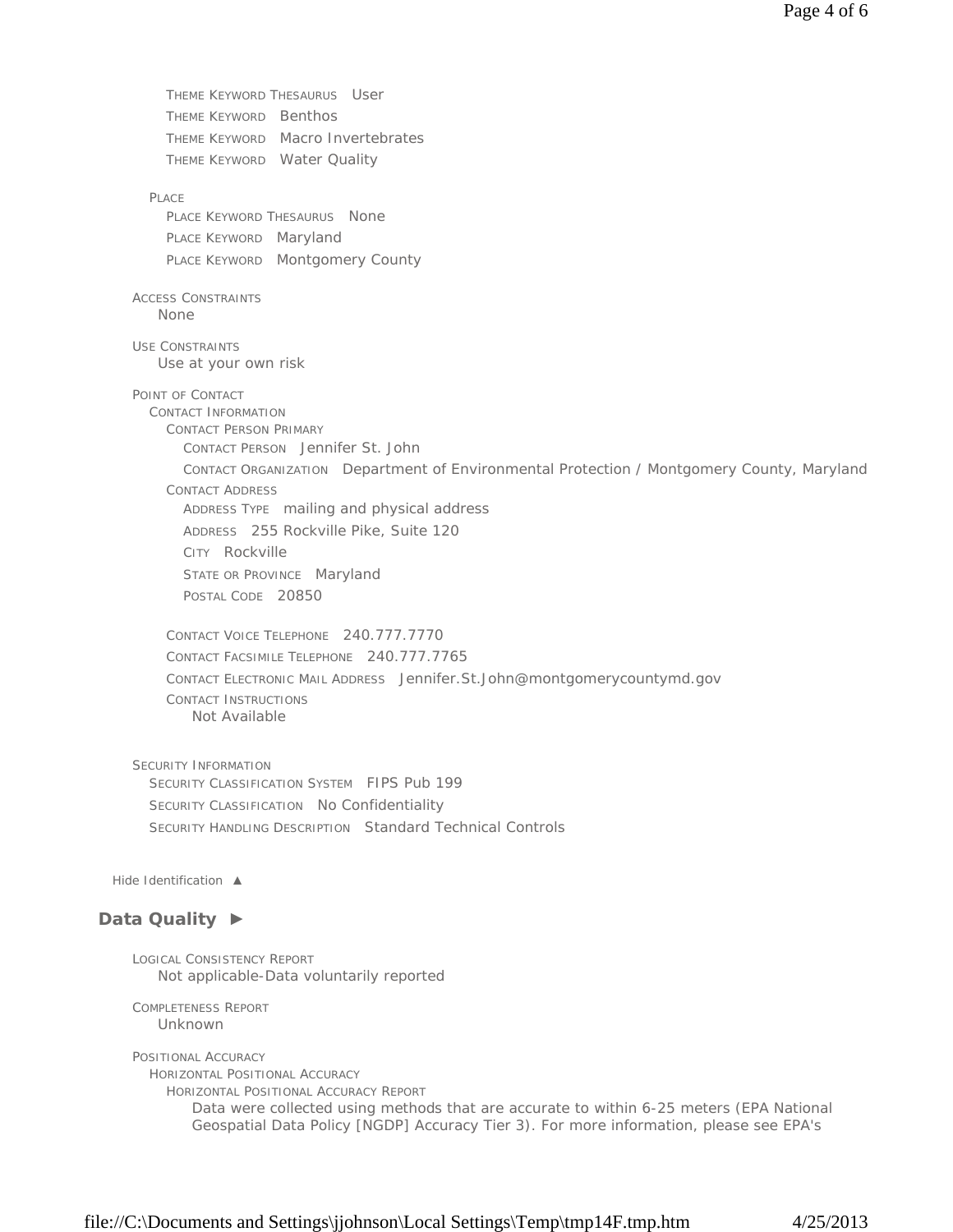THEME KEYWORD THESAURUS User THEME KEYWORD Benthos THEME KEYWORD Macro Invertebrates THEME KEYWORD Water Quality PLACE. PLACE KEYWORD THESAURUS None PLACE KEYWORD Maryland PLACE KEYWORD Montgomery County ACCESS CONSTRAINTS USE CONSTRAINTS POINT OF CONTACT CONTACT INFORMATION CONTACT PERSON PRIMARY CONTACT PERSON Jennifer St. John CONTACT ORGANIZATION Department of Environmental Protection / Montgomery County, Maryland CONTACT ADDRESS ADDRESS TYPE mailing and physical address ADDRESS 255 Rockville Pike, Suite 120 CITY Rockville STATE OR PROVINCE Maryland POSTAL CODE 20850 CONTACT VOICE TELEPHONE 240.777.7770 CONTACT FACSIMILE TELEPHONE 240.777.7765 CONTACT ELECTRONIC MAIL ADDRESS Jennifer.St.John@montgomerycountymd.gov CONTACT INSTRUCTIONS SECURITY INFORMATION SECURITY CLASSIFICATION SYSTEM FIPS Pub 199 SECURITY CLASSIFICATION No Confidentiality SECURITY HANDLING DESCRIPTION Standard Technical Controls *Hide Identification ▲* **Data Quality ►** LOGICAL CONSISTENCY REPORT COMPLETENESS REPORT POSITIONAL ACCURACY HORIZONTAL POSITIONAL ACCURACY HORIZONTAL POSITIONAL ACCURACY REPORT None Use at your own risk Not Available Not applicable-Data voluntarily reported Unknown Data were collected using methods that are accurate to within 6-25 meters (EPA National Geospatial Data Policy [NGDP] Accuracy Tier 3). For more information, please see EPA's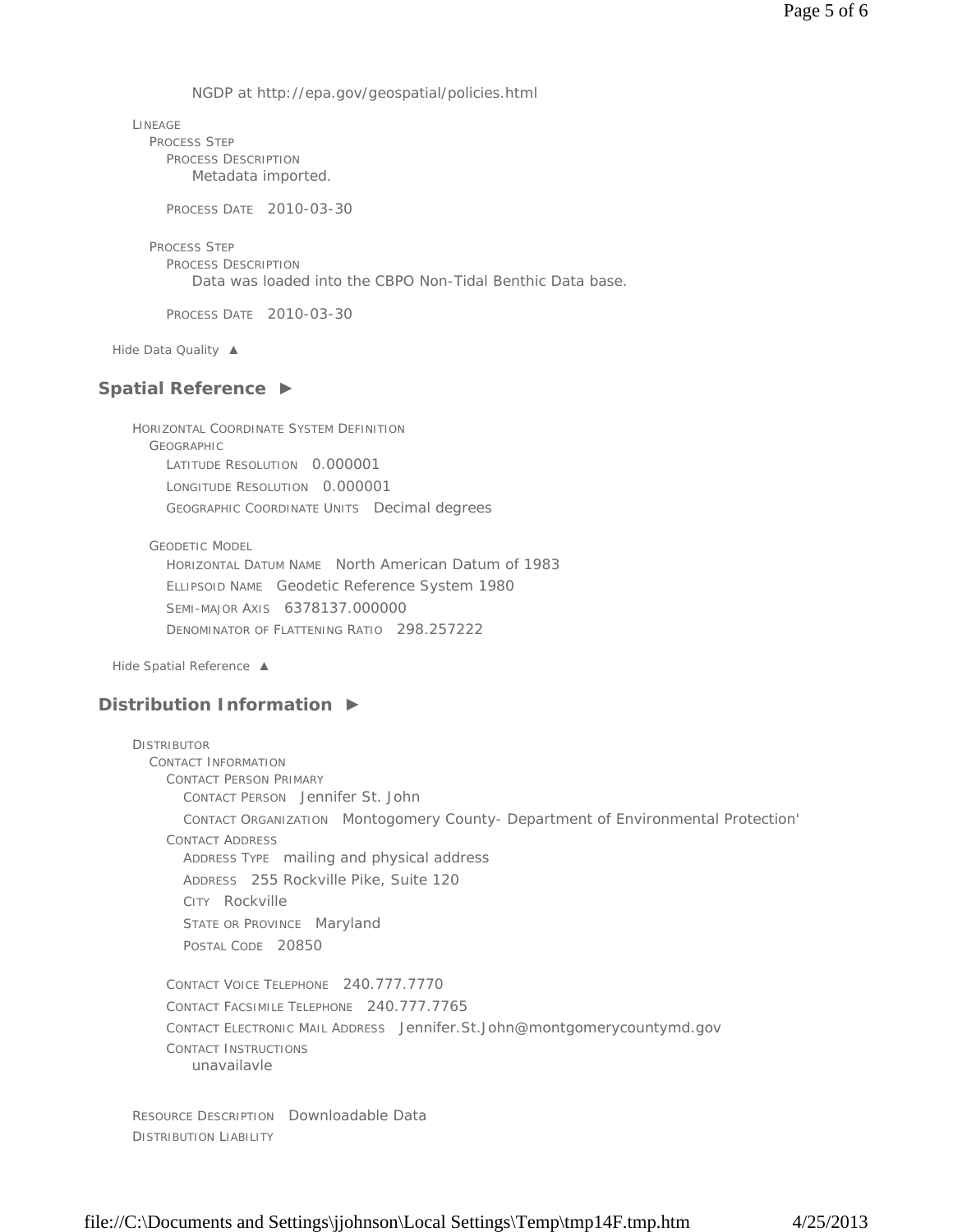NGDP at http://epa.gov/geospatial/policies.html

LINEAGE PROCESS STEP PROCESS DESCRIPTION Metadata imported.

PROCESS DATE 2010-03-30

PROCESS STEP PROCESS DESCRIPTION Data was loaded into the CBPO Non-Tidal Benthic Data base.

PROCESS DATE 2010-03-30

*Hide Data Quality ▲*

## **Spatial Reference ►**

HORIZONTAL COORDINATE SYSTEM DEFINITION GEOGRAPHIC LATITUDE RESOLUTION 0.000001 LONGITUDE RESOLUTION 0.000001 GEOGRAPHIC COORDINATE UNITS Decimal degrees

GEODETIC MODEL

HORIZONTAL DATUM NAME North American Datum of 1983 ELLIPSOID NAME Geodetic Reference System 1980 SEMI-MAJOR AXIS 6378137.000000 DENOMINATOR OF FLATTENING RATIO 298.257222

*Hide Spatial Reference ▲*

## **Distribution Information ►**

```
DISTRIBUTOR
CONTACT INFORMATION 
  CONTACT PERSON PRIMARY 
    CONTACT PERSON Jennifer St. John 
    CONTACT ORGANIZATION Montogomery County- Department of Environmental Protection'
  CONTACT ADDRESS 
    ADDRESS TYPE mailing and physical address 
    ADDRESS 255 Rockville Pike, Suite 120 
    CITY Rockville 
    STATE OR PROVINCE Maryland
    POSTAL CODE 20850
  CONTACT VOICE TELEPHONE 240.777.7770 
  CONTACT FACSIMILE TELEPHONE 240.777.7765 
  CONTACT ELECTRONIC MAIL ADDRESS Jennifer.St.John@montgomerycountymd.gov 
  CONTACT INSTRUCTIONS
     unavailavle
```
RESOURCE DESCRIPTION Downloadable Data DISTRIBUTION LIABILITY